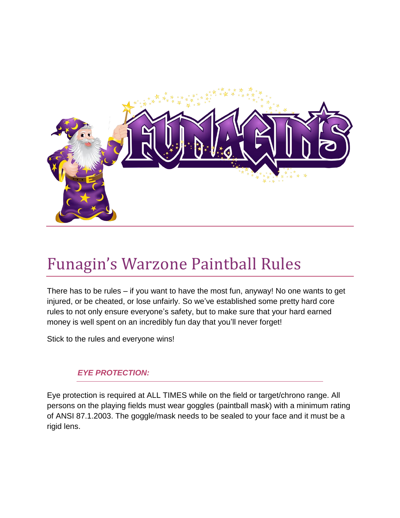

## Funagin's Warzone Paintball Rules

There has to be rules – if you want to have the most fun, anyway! No one wants to get injured, or be cheated, or lose unfairly. So we've established some pretty hard core rules to not only ensure everyone's safety, but to make sure that your hard earned money is well spent on an incredibly fun day that you'll never forget!

Stick to the rules and everyone wins!

## *EYE PROTECTION:*

Eye protection is required at ALL TIMES while on the field or target/chrono range. All persons on the playing fields must wear goggles (paintball mask) with a minimum rating of ANSI 87.1.2003. The goggle/mask needs to be sealed to your face and it must be a rigid lens.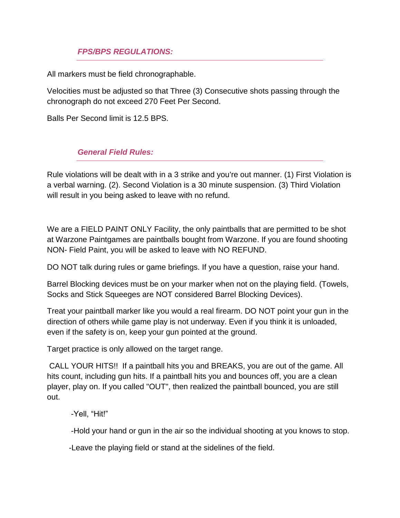## *FPS/BPS REGULATIONS:*

All markers must be field chronographable.

Velocities must be adjusted so that Three (3) Consecutive shots passing through the chronograph do not exceed 270 Feet Per Second.

Balls Per Second limit is 12.5 BPS.

## *General Field Rules:*

Rule violations will be dealt with in a 3 strike and you're out manner. (1) First Violation is a verbal warning. (2). Second Violation is a 30 minute suspension. (3) Third Violation will result in you being asked to leave with no refund.

We are a FIELD PAINT ONLY Facility, the only paintballs that are permitted to be shot at Warzone Paintgames are paintballs bought from Warzone. If you are found shooting NON- Field Paint, you will be asked to leave with NO REFUND.

DO NOT talk during rules or game briefings. If you have a question, raise your hand.

Barrel Blocking devices must be on your marker when not on the playing field. (Towels, Socks and Stick Squeeges are NOT considered Barrel Blocking Devices).

Treat your paintball marker like you would a real firearm. DO NOT point your gun in the direction of others while game play is not underway. Even if you think it is unloaded, even if the safety is on, keep your gun pointed at the ground.

Target practice is only allowed on the target range.

CALL YOUR HITS!! If a paintball hits you and BREAKS, you are out of the game. All hits count, including gun hits. If a paintball hits you and bounces off, you are a clean player, play on. If you called "OUT", then realized the paintball bounced, you are still out.

-Yell, "Hit!"

-Hold your hand or gun in the air so the individual shooting at you knows to stop.

-Leave the playing field or stand at the sidelines of the field.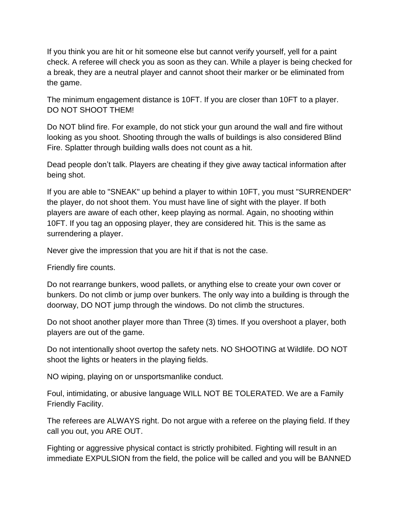If you think you are hit or hit someone else but cannot verify yourself, yell for a paint check. A referee will check you as soon as they can. While a player is being checked for a break, they are a neutral player and cannot shoot their marker or be eliminated from the game.

The minimum engagement distance is 10FT. If you are closer than 10FT to a player. DO NOT SHOOT THEM!

Do NOT blind fire. For example, do not stick your gun around the wall and fire without looking as you shoot. Shooting through the walls of buildings is also considered Blind Fire. Splatter through building walls does not count as a hit.

Dead people don't talk. Players are cheating if they give away tactical information after being shot.

If you are able to "SNEAK" up behind a player to within 10FT, you must "SURRENDER" the player, do not shoot them. You must have line of sight with the player. If both players are aware of each other, keep playing as normal. Again, no shooting within 10FT. If you tag an opposing player, they are considered hit. This is the same as surrendering a player.

Never give the impression that you are hit if that is not the case.

Friendly fire counts.

Do not rearrange bunkers, wood pallets, or anything else to create your own cover or bunkers. Do not climb or jump over bunkers. The only way into a building is through the doorway, DO NOT jump through the windows. Do not climb the structures.

Do not shoot another player more than Three (3) times. If you overshoot a player, both players are out of the game.

Do not intentionally shoot overtop the safety nets. NO SHOOTING at Wildlife. DO NOT shoot the lights or heaters in the playing fields.

NO wiping, playing on or unsportsmanlike conduct.

Foul, intimidating, or abusive language WILL NOT BE TOLERATED. We are a Family Friendly Facility.

The referees are ALWAYS right. Do not argue with a referee on the playing field. If they call you out, you ARE OUT.

Fighting or aggressive physical contact is strictly prohibited. Fighting will result in an immediate EXPULSION from the field, the police will be called and you will be BANNED